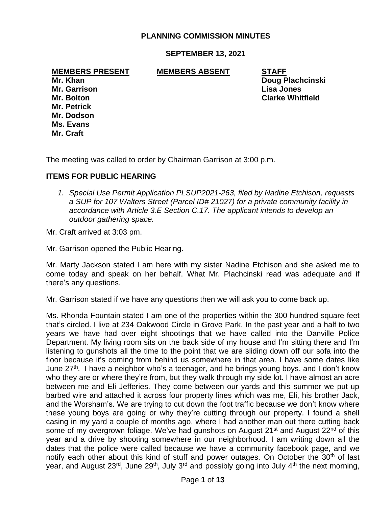## **PLANNING COMMISSION MINUTES**

### **SEPTEMBER 13, 2021**

#### **MEMBERS PRESENT MEMBERS ABSENT STAFF**

**Mr. Garrison Lisa Jones Mr. Petrick Mr. Dodson Ms. Evans Mr. Craft**

**Mr. Khan Doug Plachcinski Mr. Bolton Clarke Whitfield**

The meeting was called to order by Chairman Garrison at 3:00 p.m.

### **ITEMS FOR PUBLIC HEARING**

*1. Special Use Permit Application PLSUP2021-263, filed by Nadine Etchison, requests a SUP for 107 Walters Street (Parcel ID# 21027) for a private community facility in accordance with Article 3.E Section C.17. The applicant intends to develop an outdoor gathering space.*

Mr. Craft arrived at 3:03 pm.

Mr. Garrison opened the Public Hearing.

Mr. Marty Jackson stated I am here with my sister Nadine Etchison and she asked me to come today and speak on her behalf. What Mr. Plachcinski read was adequate and if there's any questions.

Mr. Garrison stated if we have any questions then we will ask you to come back up.

Ms. Rhonda Fountain stated I am one of the properties within the 300 hundred square feet that's circled. I live at 234 Oakwood Circle in Grove Park. In the past year and a half to two years we have had over eight shootings that we have called into the Danville Police Department. My living room sits on the back side of my house and I'm sitting there and I'm listening to gunshots all the time to the point that we are sliding down off our sofa into the floor because it's coming from behind us somewhere in that area. I have some dates like June 27<sup>th</sup>. I have a neighbor who's a teenager, and he brings young boys, and I don't know who they are or where they're from, but they walk through my side lot. I have almost an acre between me and Eli Jefferies. They come between our yards and this summer we put up barbed wire and attached it across four property lines which was me, Eli, his brother Jack, and the Worsham's. We are trying to cut down the foot traffic because we don't know where these young boys are going or why they're cutting through our property. I found a shell casing in my yard a couple of months ago, where I had another man out there cutting back some of my overgrown foliage. We've had gunshots on August  $21<sup>st</sup>$  and August  $22<sup>nd</sup>$  of this year and a drive by shooting somewhere in our neighborhood. I am writing down all the dates that the police were called because we have a community facebook page, and we notify each other about this kind of stuff and power outages. On October the 30<sup>th</sup> of last year, and August  $23^{rd}$ , June  $29^{th}$ , July  $3^{rd}$  and possibly going into July  $4^{th}$  the next morning,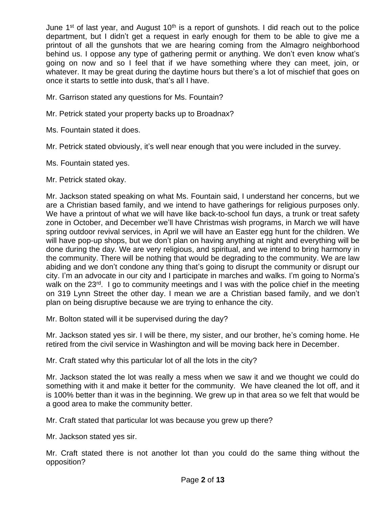June 1<sup>st</sup> of last year, and August 10<sup>th</sup> is a report of gunshots. I did reach out to the police department, but I didn't get a request in early enough for them to be able to give me a printout of all the gunshots that we are hearing coming from the Almagro neighborhood behind us. I oppose any type of gathering permit or anything. We don't even know what's going on now and so I feel that if we have something where they can meet, join, or whatever. It may be great during the daytime hours but there's a lot of mischief that goes on once it starts to settle into dusk, that's all I have.

Mr. Garrison stated any questions for Ms. Fountain?

- Mr. Petrick stated your property backs up to Broadnax?
- Ms. Fountain stated it does.
- Mr. Petrick stated obviously, it's well near enough that you were included in the survey.
- Ms. Fountain stated yes.
- Mr. Petrick stated okay.

Mr. Jackson stated speaking on what Ms. Fountain said, I understand her concerns, but we are a Christian based family, and we intend to have gatherings for religious purposes only. We have a printout of what we will have like back-to-school fun days, a trunk or treat safety zone in October, and December we'll have Christmas wish programs, in March we will have spring outdoor revival services, in April we will have an Easter egg hunt for the children. We will have pop-up shops, but we don't plan on having anything at night and everything will be done during the day. We are very religious, and spiritual, and we intend to bring harmony in the community. There will be nothing that would be degrading to the community. We are law abiding and we don't condone any thing that's going to disrupt the community or disrupt our city. I'm an advocate in our city and I participate in marches and walks. I'm going to Norma's walk on the 23<sup>rd</sup>. I go to community meetings and I was with the police chief in the meeting on 319 Lynn Street the other day. I mean we are a Christian based family, and we don't plan on being disruptive because we are trying to enhance the city.

Mr. Bolton stated will it be supervised during the day?

Mr. Jackson stated yes sir. I will be there, my sister, and our brother, he's coming home. He retired from the civil service in Washington and will be moving back here in December.

Mr. Craft stated why this particular lot of all the lots in the city?

Mr. Jackson stated the lot was really a mess when we saw it and we thought we could do something with it and make it better for the community. We have cleaned the lot off, and it is 100% better than it was in the beginning. We grew up in that area so we felt that would be a good area to make the community better.

Mr. Craft stated that particular lot was because you grew up there?

Mr. Jackson stated yes sir.

Mr. Craft stated there is not another lot than you could do the same thing without the opposition?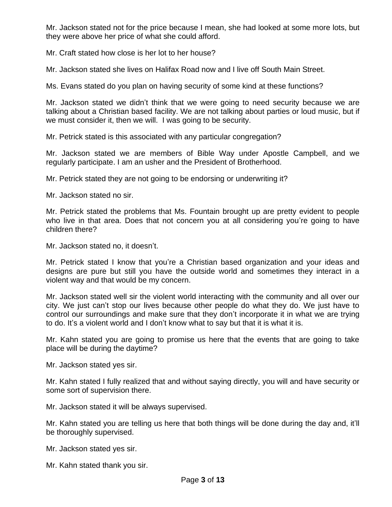Mr. Jackson stated not for the price because I mean, she had looked at some more lots, but they were above her price of what she could afford.

Mr. Craft stated how close is her lot to her house?

Mr. Jackson stated she lives on Halifax Road now and I live off South Main Street.

Ms. Evans stated do you plan on having security of some kind at these functions?

Mr. Jackson stated we didn't think that we were going to need security because we are talking about a Christian based facility. We are not talking about parties or loud music, but if we must consider it, then we will. I was going to be security.

Mr. Petrick stated is this associated with any particular congregation?

Mr. Jackson stated we are members of Bible Way under Apostle Campbell, and we regularly participate. I am an usher and the President of Brotherhood.

Mr. Petrick stated they are not going to be endorsing or underwriting it?

Mr. Jackson stated no sir.

Mr. Petrick stated the problems that Ms. Fountain brought up are pretty evident to people who live in that area. Does that not concern you at all considering you're going to have children there?

Mr. Jackson stated no, it doesn't.

Mr. Petrick stated I know that you're a Christian based organization and your ideas and designs are pure but still you have the outside world and sometimes they interact in a violent way and that would be my concern.

Mr. Jackson stated well sir the violent world interacting with the community and all over our city. We just can't stop our lives because other people do what they do. We just have to control our surroundings and make sure that they don't incorporate it in what we are trying to do. It's a violent world and I don't know what to say but that it is what it is.

Mr. Kahn stated you are going to promise us here that the events that are going to take place will be during the daytime?

Mr. Jackson stated yes sir.

Mr. Kahn stated I fully realized that and without saying directly, you will and have security or some sort of supervision there.

Mr. Jackson stated it will be always supervised.

Mr. Kahn stated you are telling us here that both things will be done during the day and, it'll be thoroughly supervised.

Mr. Jackson stated yes sir.

Mr. Kahn stated thank you sir.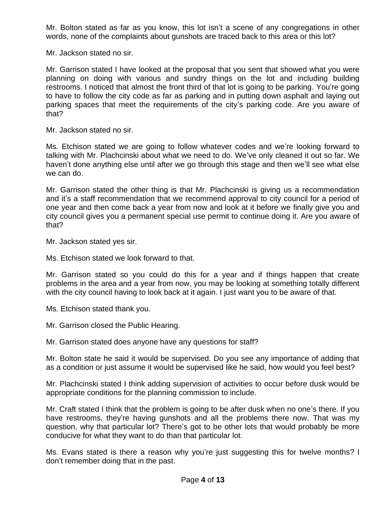Mr. Bolton stated as far as you know, this lot isn't a scene of any congregations in other words, none of the complaints about gunshots are traced back to this area or this lot?

Mr. Jackson stated no sir.

Mr. Garrison stated I have looked at the proposal that you sent that showed what you were planning on doing with various and sundry things on the lot and including building restrooms. I noticed that almost the front third of that lot is going to be parking. You're going to have to follow the city code as far as parking and in putting down asphalt and laying out parking spaces that meet the requirements of the city's parking code. Are you aware of that?

Mr. Jackson stated no sir.

Ms. Etchison stated we are going to follow whatever codes and we're looking forward to talking with Mr. Plachcinski about what we need to do. We've only cleaned it out so far. We haven't done anything else until after we go through this stage and then we'll see what else we can do.

Mr. Garrison stated the other thing is that Mr. Plachcinski is giving us a recommendation and it's a staff recommendation that we recommend approval to city council for a period of one year and then come back a year from now and look at it before we finally give you and city council gives you a permanent special use permit to continue doing it. Are you aware of that?

Mr. Jackson stated yes sir.

Ms. Etchison stated we look forward to that.

Mr. Garrison stated so you could do this for a year and if things happen that create problems in the area and a year from now, you may be looking at something totally different with the city council having to look back at it again. I just want you to be aware of that.

Ms. Etchison stated thank you.

Mr. Garrison closed the Public Hearing.

Mr. Garrison stated does anyone have any questions for staff?

Mr. Bolton state he said it would be supervised. Do you see any importance of adding that as a condition or just assume it would be supervised like he said, how would you feel best?

Mr. Plachcinski stated I think adding supervision of activities to occur before dusk would be appropriate conditions for the planning commission to include.

Mr. Craft stated I think that the problem is going to be after dusk when no one's there. If you have restrooms, they're having gunshots and all the problems there now. That was my question, why that particular lot? There's got to be other lots that would probably be more conducive for what they want to do than that particular lot.

Ms. Evans stated is there a reason why you're just suggesting this for twelve months? I don't remember doing that in the past.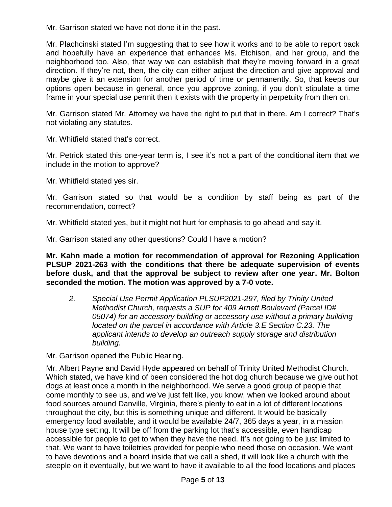Mr. Garrison stated we have not done it in the past.

Mr. Plachcinski stated I'm suggesting that to see how it works and to be able to report back and hopefully have an experience that enhances Ms. Etchison, and her group, and the neighborhood too. Also, that way we can establish that they're moving forward in a great direction. If they're not, then, the city can either adjust the direction and give approval and maybe give it an extension for another period of time or permanently. So, that keeps our options open because in general, once you approve zoning, if you don't stipulate a time frame in your special use permit then it exists with the property in perpetuity from then on.

Mr. Garrison stated Mr. Attorney we have the right to put that in there. Am I correct? That's not violating any statutes.

Mr. Whitfield stated that's correct.

Mr. Petrick stated this one-year term is, I see it's not a part of the conditional item that we include in the motion to approve?

Mr. Whitfield stated yes sir.

Mr. Garrison stated so that would be a condition by staff being as part of the recommendation, correct?

Mr. Whitfield stated yes, but it might not hurt for emphasis to go ahead and say it.

Mr. Garrison stated any other questions? Could I have a motion?

**Mr. Kahn made a motion for recommendation of approval for Rezoning Application PLSUP 2021-263 with the conditions that there be adequate supervision of events before dusk, and that the approval be subject to review after one year. Mr. Bolton seconded the motion. The motion was approved by a 7-0 vote.**

*2. Special Use Permit Application PLSUP2021-297, filed by Trinity United Methodist Church, requests a SUP for 409 Arnett Boulevard (Parcel ID# 05074) for an accessory building or accessory use without a primary building located on the parcel in accordance with Article 3.E Section C.23. The applicant intends to develop an outreach supply storage and distribution building.*

Mr. Garrison opened the Public Hearing.

Mr. Albert Payne and David Hyde appeared on behalf of Trinity United Methodist Church. Which stated, we have kind of been considered the hot dog church because we give out hot dogs at least once a month in the neighborhood. We serve a good group of people that come monthly to see us, and we've just felt like, you know, when we looked around about food sources around Danville, Virginia, there's plenty to eat in a lot of different locations throughout the city, but this is something unique and different. It would be basically emergency food available, and it would be available 24/7, 365 days a year, in a mission house type setting. It will be off from the parking lot that's accessible, even handicap accessible for people to get to when they have the need. It's not going to be just limited to that. We want to have toiletries provided for people who need those on occasion. We want to have devotions and a board inside that we call a shed, it will look like a church with the steeple on it eventually, but we want to have it available to all the food locations and places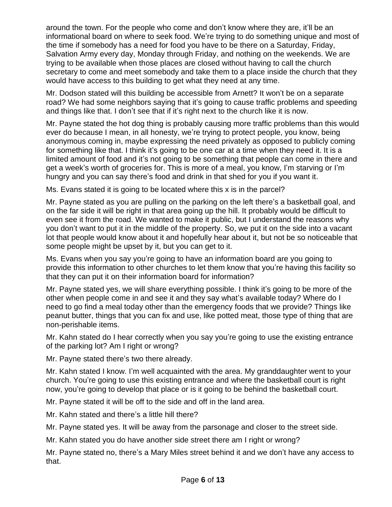around the town. For the people who come and don't know where they are, it'll be an informational board on where to seek food. We're trying to do something unique and most of the time if somebody has a need for food you have to be there on a Saturday, Friday, Salvation Army every day, Monday through Friday, and nothing on the weekends. We are trying to be available when those places are closed without having to call the church secretary to come and meet somebody and take them to a place inside the church that they would have access to this building to get what they need at any time.

Mr. Dodson stated will this building be accessible from Arnett? It won't be on a separate road? We had some neighbors saying that it's going to cause traffic problems and speeding and things like that. I don't see that if it's right next to the church like it is now.

Mr. Payne stated the hot dog thing is probably causing more traffic problems than this would ever do because I mean, in all honesty, we're trying to protect people, you know, being anonymous coming in, maybe expressing the need privately as opposed to publicly coming for something like that. I think it's going to be one car at a time when they need it. It is a limited amount of food and it's not going to be something that people can come in there and get a week's worth of groceries for. This is more of a meal, you know, I'm starving or I'm hungry and you can say there's food and drink in that shed for you if you want it.

Ms. Evans stated it is going to be located where this x is in the parcel?

Mr. Payne stated as you are pulling on the parking on the left there's a basketball goal, and on the far side it will be right in that area going up the hill. It probably would be difficult to even see it from the road. We wanted to make it public, but I understand the reasons why you don't want to put it in the middle of the property. So, we put it on the side into a vacant lot that people would know about it and hopefully hear about it, but not be so noticeable that some people might be upset by it, but you can get to it.

Ms. Evans when you say you're going to have an information board are you going to provide this information to other churches to let them know that you're having this facility so that they can put it on their information board for information?

Mr. Payne stated yes, we will share everything possible. I think it's going to be more of the other when people come in and see it and they say what's available today? Where do I need to go find a meal today other than the emergency foods that we provide? Things like peanut butter, things that you can fix and use, like potted meat, those type of thing that are non-perishable items.

Mr. Kahn stated do I hear correctly when you say you're going to use the existing entrance of the parking lot? Am I right or wrong?

Mr. Payne stated there's two there already.

Mr. Kahn stated I know. I'm well acquainted with the area. My granddaughter went to your church. You're going to use this existing entrance and where the basketball court is right now, you're going to develop that place or is it going to be behind the basketball court.

Mr. Payne stated it will be off to the side and off in the land area.

Mr. Kahn stated and there's a little hill there?

Mr. Payne stated yes. It will be away from the parsonage and closer to the street side.

Mr. Kahn stated you do have another side street there am I right or wrong?

Mr. Payne stated no, there's a Mary Miles street behind it and we don't have any access to that.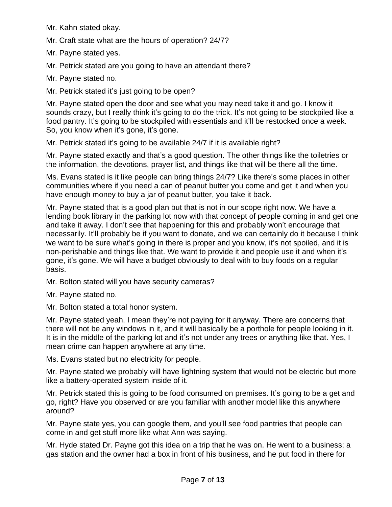Mr. Kahn stated okay.

Mr. Craft state what are the hours of operation? 24/7?

Mr. Payne stated yes.

Mr. Petrick stated are you going to have an attendant there?

Mr. Payne stated no.

Mr. Petrick stated it's just going to be open?

Mr. Payne stated open the door and see what you may need take it and go. I know it sounds crazy, but I really think it's going to do the trick. It's not going to be stockpiled like a food pantry. It's going to be stockpiled with essentials and it'll be restocked once a week. So, you know when it's gone, it's gone.

Mr. Petrick stated it's going to be available 24/7 if it is available right?

Mr. Payne stated exactly and that's a good question. The other things like the toiletries or the information, the devotions, prayer list, and things like that will be there all the time.

Ms. Evans stated is it like people can bring things 24/7? Like there's some places in other communities where if you need a can of peanut butter you come and get it and when you have enough money to buy a jar of peanut butter, you take it back.

Mr. Payne stated that is a good plan but that is not in our scope right now. We have a lending book library in the parking lot now with that concept of people coming in and get one and take it away. I don't see that happening for this and probably won't encourage that necessarily. It'll probably be if you want to donate, and we can certainly do it because I think we want to be sure what's going in there is proper and you know, it's not spoiled, and it is non-perishable and things like that. We want to provide it and people use it and when it's gone, it's gone. We will have a budget obviously to deal with to buy foods on a regular basis.

Mr. Bolton stated will you have security cameras?

Mr. Payne stated no.

Mr. Bolton stated a total honor system.

Mr. Payne stated yeah, I mean they're not paying for it anyway. There are concerns that there will not be any windows in it, and it will basically be a porthole for people looking in it. It is in the middle of the parking lot and it's not under any trees or anything like that. Yes, I mean crime can happen anywhere at any time.

Ms. Evans stated but no electricity for people.

Mr. Payne stated we probably will have lightning system that would not be electric but more like a battery-operated system inside of it.

Mr. Petrick stated this is going to be food consumed on premises. It's going to be a get and go, right? Have you observed or are you familiar with another model like this anywhere around?

Mr. Payne state yes, you can google them, and you'll see food pantries that people can come in and get stuff more like what Ann was saying.

Mr. Hyde stated Dr. Payne got this idea on a trip that he was on. He went to a business; a gas station and the owner had a box in front of his business, and he put food in there for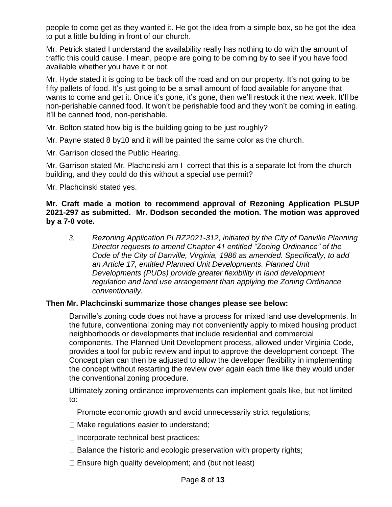people to come get as they wanted it. He got the idea from a simple box, so he got the idea to put a little building in front of our church.

Mr. Petrick stated I understand the availability really has nothing to do with the amount of traffic this could cause. I mean, people are going to be coming by to see if you have food available whether you have it or not.

Mr. Hyde stated it is going to be back off the road and on our property. It's not going to be fifty pallets of food. It's just going to be a small amount of food available for anyone that wants to come and get it. Once it's gone, it's gone, then we'll restock it the next week. It'll be non-perishable canned food. It won't be perishable food and they won't be coming in eating. It'll be canned food, non-perishable.

Mr. Bolton stated how big is the building going to be just roughly?

Mr. Payne stated 8 by10 and it will be painted the same color as the church.

Mr. Garrison closed the Public Hearing.

Mr. Garrison stated Mr. Plachcinski am I correct that this is a separate lot from the church building, and they could do this without a special use permit?

Mr. Plachcinski stated yes.

### **Mr. Craft made a motion to recommend approval of Rezoning Application PLSUP 2021-297 as submitted. Mr. Dodson seconded the motion. The motion was approved by a 7-0 vote.**

*3. Rezoning Application PLRZ2021-312, initiated by the City of Danville Planning Director requests to amend Chapter 41 entitled "Zoning Ordinance" of the Code of the City of Danville, Virginia, 1986 as amended. Specifically, to add an Article 17, entitled Planned Unit Developments. Planned Unit Developments (PUDs) provide greater flexibility in land development regulation and land use arrangement than applying the Zoning Ordinance conventionally.*

# **Then Mr. Plachcinski summarize those changes please see below:**

Danville's zoning code does not have a process for mixed land use developments. In the future, conventional zoning may not conveniently apply to mixed housing product neighborhoods or developments that include residential and commercial components. The Planned Unit Development process, allowed under Virginia Code, provides a tool for public review and input to approve the development concept. The Concept plan can then be adjusted to allow the developer flexibility in implementing the concept without restarting the review over again each time like they would under the conventional zoning procedure.

Ultimately zoning ordinance improvements can implement goals like, but not limited to:

- $\Box$  Promote economic growth and avoid unnecessarily strict regulations;
- $\Box$  Make regulations easier to understand;
- $\Box$  Incorporate technical best practices;
- $\Box$  Balance the historic and ecologic preservation with property rights;
- $\Box$  Ensure high quality development; and (but not least)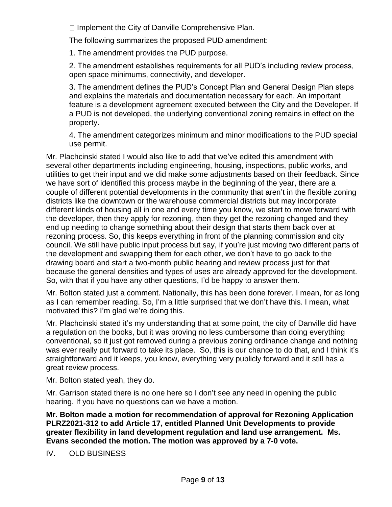$\Box$  Implement the City of Danville Comprehensive Plan.

The following summarizes the proposed PUD amendment:

1. The amendment provides the PUD purpose.

2. The amendment establishes requirements for all PUD's including review process, open space minimums, connectivity, and developer.

3. The amendment defines the PUD's Concept Plan and General Design Plan steps and explains the materials and documentation necessary for each. An important feature is a development agreement executed between the City and the Developer. If a PUD is not developed, the underlying conventional zoning remains in effect on the property.

4. The amendment categorizes minimum and minor modifications to the PUD special use permit.

Mr. Plachcinski stated I would also like to add that we've edited this amendment with several other departments including engineering, housing, inspections, public works, and utilities to get their input and we did make some adjustments based on their feedback. Since we have sort of identified this process maybe in the beginning of the year, there are a couple of different potential developments in the community that aren't in the flexible zoning districts like the downtown or the warehouse commercial districts but may incorporate different kinds of housing all in one and every time you know, we start to move forward with the developer, then they apply for rezoning, then they get the rezoning changed and they end up needing to change something about their design that starts them back over at rezoning process. So, this keeps everything in front of the planning commission and city council. We still have public input process but say, if you're just moving two different parts of the development and swapping them for each other, we don't have to go back to the drawing board and start a two-month public hearing and review process just for that because the general densities and types of uses are already approved for the development. So, with that if you have any other questions, I'd be happy to answer them.

Mr. Bolton stated just a comment. Nationally, this has been done forever. I mean, for as long as I can remember reading. So, I'm a little surprised that we don't have this. I mean, what motivated this? I'm glad we're doing this.

Mr. Plachcinski stated it's my understanding that at some point, the city of Danville did have a regulation on the books, but it was proving no less cumbersome than doing everything conventional, so it just got removed during a previous zoning ordinance change and nothing was ever really put forward to take its place. So, this is our chance to do that, and I think it's straightforward and it keeps, you know, everything very publicly forward and it still has a great review process.

Mr. Bolton stated yeah, they do.

Mr. Garrison stated there is no one here so I don't see any need in opening the public hearing. If you have no questions can we have a motion.

**Mr. Bolton made a motion for recommendation of approval for Rezoning Application PLRZ2021-312 to add Article 17, entitled Planned Unit Developments to provide greater flexibility in land development regulation and land use arrangement. Ms. Evans seconded the motion. The motion was approved by a 7-0 vote.**

IV. OLD BUSINESS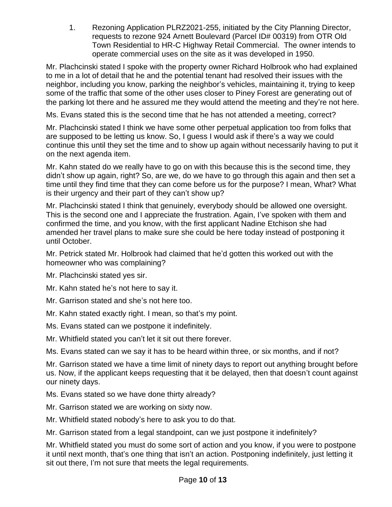1. Rezoning Application PLRZ2021-255, initiated by the City Planning Director, requests to rezone 924 Arnett Boulevard (Parcel ID# 00319) from OTR Old Town Residential to HR-C Highway Retail Commercial. The owner intends to operate commercial uses on the site as it was developed in 1950.

Mr. Plachcinski stated I spoke with the property owner Richard Holbrook who had explained to me in a lot of detail that he and the potential tenant had resolved their issues with the neighbor, including you know, parking the neighbor's vehicles, maintaining it, trying to keep some of the traffic that some of the other uses closer to Piney Forest are generating out of the parking lot there and he assured me they would attend the meeting and they're not here.

Ms. Evans stated this is the second time that he has not attended a meeting, correct?

Mr. Plachcinski stated I think we have some other perpetual application too from folks that are supposed to be letting us know. So, I guess I would ask if there's a way we could continue this until they set the time and to show up again without necessarily having to put it on the next agenda item.

Mr. Kahn stated do we really have to go on with this because this is the second time, they didn't show up again, right? So, are we, do we have to go through this again and then set a time until they find time that they can come before us for the purpose? I mean, What? What is their urgency and their part of they can't show up?

Mr. Plachcinski stated I think that genuinely, everybody should be allowed one oversight. This is the second one and I appreciate the frustration. Again, I've spoken with them and confirmed the time, and you know, with the first applicant Nadine Etchison she had amended her travel plans to make sure she could be here today instead of postponing it until October.

Mr. Petrick stated Mr. Holbrook had claimed that he'd gotten this worked out with the homeowner who was complaining?

Mr. Plachcinski stated yes sir.

- Mr. Kahn stated he's not here to say it.
- Mr. Garrison stated and she's not here too.
- Mr. Kahn stated exactly right. I mean, so that's my point.
- Ms. Evans stated can we postpone it indefinitely.
- Mr. Whitfield stated you can't let it sit out there forever.

Ms. Evans stated can we say it has to be heard within three, or six months, and if not?

Mr. Garrison stated we have a time limit of ninety days to report out anything brought before us. Now, if the applicant keeps requesting that it be delayed, then that doesn't count against our ninety days.

- Ms. Evans stated so we have done thirty already?
- Mr. Garrison stated we are working on sixty now.
- Mr. Whitfield stated nobody's here to ask you to do that.

Mr. Garrison stated from a legal standpoint, can we just postpone it indefinitely?

Mr. Whitfield stated you must do some sort of action and you know, if you were to postpone it until next month, that's one thing that isn't an action. Postponing indefinitely, just letting it sit out there, I'm not sure that meets the legal requirements.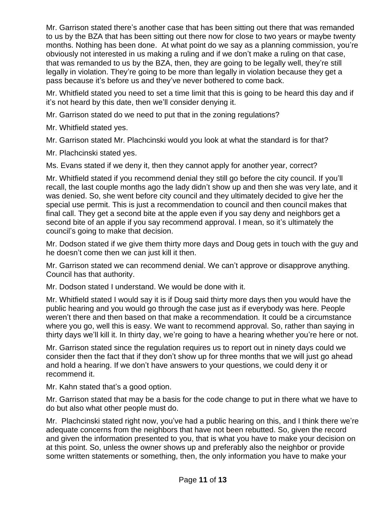Mr. Garrison stated there's another case that has been sitting out there that was remanded to us by the BZA that has been sitting out there now for close to two years or maybe twenty months. Nothing has been done. At what point do we say as a planning commission, you're obviously not interested in us making a ruling and if we don't make a ruling on that case, that was remanded to us by the BZA, then, they are going to be legally well, they're still legally in violation. They're going to be more than legally in violation because they get a pass because it's before us and they've never bothered to come back.

Mr. Whitfield stated you need to set a time limit that this is going to be heard this day and if it's not heard by this date, then we'll consider denying it.

Mr. Garrison stated do we need to put that in the zoning regulations?

Mr. Whitfield stated yes.

Mr. Garrison stated Mr. Plachcinski would you look at what the standard is for that?

Mr. Plachcinski stated yes.

Ms. Evans stated if we deny it, then they cannot apply for another year, correct?

Mr. Whitfield stated if you recommend denial they still go before the city council. If you'll recall, the last couple months ago the lady didn't show up and then she was very late, and it was denied. So, she went before city council and they ultimately decided to give her the special use permit. This is just a recommendation to council and then council makes that final call. They get a second bite at the apple even if you say deny and neighbors get a second bite of an apple if you say recommend approval. I mean, so it's ultimately the council's going to make that decision.

Mr. Dodson stated if we give them thirty more days and Doug gets in touch with the guy and he doesn't come then we can just kill it then.

Mr. Garrison stated we can recommend denial. We can't approve or disapprove anything. Council has that authority.

Mr. Dodson stated I understand. We would be done with it.

Mr. Whitfield stated I would say it is if Doug said thirty more days then you would have the public hearing and you would go through the case just as if everybody was here. People weren't there and then based on that make a recommendation. It could be a circumstance where you go, well this is easy. We want to recommend approval. So, rather than saying in thirty days we'll kill it. In thirty day, we're going to have a hearing whether you're here or not.

Mr. Garrison stated since the regulation requires us to report out in ninety days could we consider then the fact that if they don't show up for three months that we will just go ahead and hold a hearing. If we don't have answers to your questions, we could deny it or recommend it.

Mr. Kahn stated that's a good option.

Mr. Garrison stated that may be a basis for the code change to put in there what we have to do but also what other people must do.

Mr. Plachcinski stated right now, you've had a public hearing on this, and I think there we're adequate concerns from the neighbors that have not been rebutted. So, given the record and given the information presented to you, that is what you have to make your decision on at this point. So, unless the owner shows up and preferably also the neighbor or provide some written statements or something, then, the only information you have to make your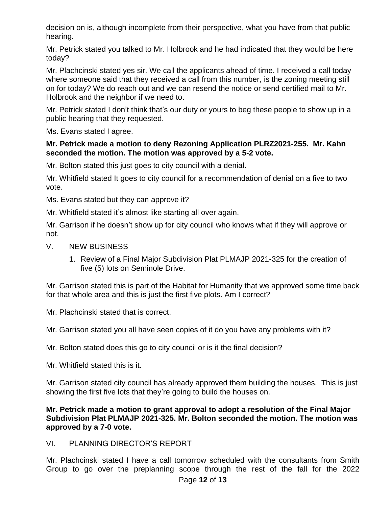decision on is, although incomplete from their perspective, what you have from that public hearing.

Mr. Petrick stated you talked to Mr. Holbrook and he had indicated that they would be here today?

Mr. Plachcinski stated yes sir. We call the applicants ahead of time. I received a call today where someone said that they received a call from this number, is the zoning meeting still on for today? We do reach out and we can resend the notice or send certified mail to Mr. Holbrook and the neighbor if we need to.

Mr. Petrick stated I don't think that's our duty or yours to beg these people to show up in a public hearing that they requested.

Ms. Evans stated I agree.

## **Mr. Petrick made a motion to deny Rezoning Application PLRZ2021-255. Mr. Kahn seconded the motion. The motion was approved by a 5-2 vote.**

Mr. Bolton stated this just goes to city council with a denial.

Mr. Whitfield stated It goes to city council for a recommendation of denial on a five to two vote.

Ms. Evans stated but they can approve it?

Mr. Whitfield stated it's almost like starting all over again.

Mr. Garrison if he doesn't show up for city council who knows what if they will approve or not.

- V. NEW BUSINESS
	- 1. Review of a Final Major Subdivision Plat PLMAJP 2021-325 for the creation of five (5) lots on Seminole Drive.

Mr. Garrison stated this is part of the Habitat for Humanity that we approved some time back for that whole area and this is just the first five plots. Am I correct?

Mr. Plachcinski stated that is correct.

Mr. Garrison stated you all have seen copies of it do you have any problems with it?

Mr. Bolton stated does this go to city council or is it the final decision?

Mr. Whitfield stated this is it.

Mr. Garrison stated city council has already approved them building the houses. This is just showing the first five lots that they're going to build the houses on.

## **Mr. Petrick made a motion to grant approval to adopt a resolution of the Final Major Subdivision Plat PLMAJP 2021-325. Mr. Bolton seconded the motion. The motion was approved by a 7-0 vote.**

# VI. PLANNING DIRECTOR'S REPORT

Mr. Plachcinski stated I have a call tomorrow scheduled with the consultants from Smith Group to go over the preplanning scope through the rest of the fall for the 2022